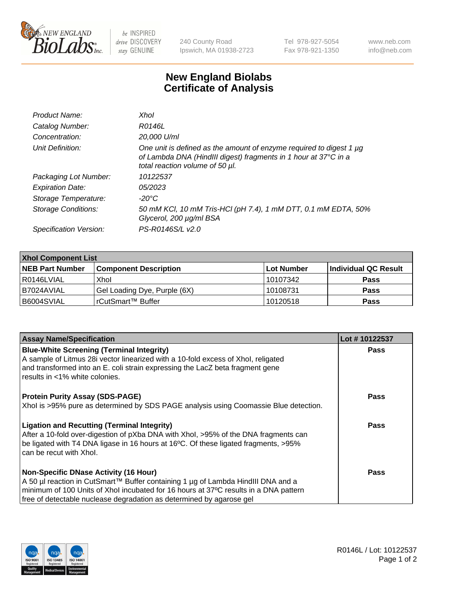

 $be$  INSPIRED drive DISCOVERY stay GENUINE

240 County Road Ipswich, MA 01938-2723 Tel 978-927-5054 Fax 978-921-1350 www.neb.com info@neb.com

## **New England Biolabs Certificate of Analysis**

| Product Name:              | Xhol                                                                                                                                                                      |
|----------------------------|---------------------------------------------------------------------------------------------------------------------------------------------------------------------------|
| Catalog Number:            | R0146L                                                                                                                                                                    |
| Concentration:             | 20,000 U/ml                                                                                                                                                               |
| Unit Definition:           | One unit is defined as the amount of enzyme required to digest 1 µg<br>of Lambda DNA (HindIII digest) fragments in 1 hour at 37°C in a<br>total reaction volume of 50 µl. |
| Packaging Lot Number:      | 10122537                                                                                                                                                                  |
| <b>Expiration Date:</b>    | 05/2023                                                                                                                                                                   |
| Storage Temperature:       | -20°C                                                                                                                                                                     |
| <b>Storage Conditions:</b> | 50 mM KCl, 10 mM Tris-HCl (pH 7.4), 1 mM DTT, 0.1 mM EDTA, 50%<br>Glycerol, 200 µg/ml BSA                                                                                 |
| Specification Version:     | PS-R0146S/L v2.0                                                                                                                                                          |

| <b>Xhol Component List</b> |                              |            |                      |  |  |
|----------------------------|------------------------------|------------|----------------------|--|--|
| <b>NEB Part Number</b>     | <b>Component Description</b> | Lot Number | Individual QC Result |  |  |
| R0146LVIAL                 | Xhol                         | 10107342   | <b>Pass</b>          |  |  |
| B7024AVIAL                 | Gel Loading Dye, Purple (6X) | 10108731   | <b>Pass</b>          |  |  |
| B6004SVIAL                 | rCutSmart™ Buffer            | 10120518   | <b>Pass</b>          |  |  |

| <b>Assay Name/Specification</b>                                                      | Lot #10122537 |
|--------------------------------------------------------------------------------------|---------------|
| <b>Blue-White Screening (Terminal Integrity)</b>                                     | Pass          |
| A sample of Litmus 28i vector linearized with a 10-fold excess of Xhol, religated    |               |
| and transformed into an E. coli strain expressing the LacZ beta fragment gene        |               |
| results in <1% white colonies.                                                       |               |
| <b>Protein Purity Assay (SDS-PAGE)</b>                                               | <b>Pass</b>   |
| Xhol is >95% pure as determined by SDS PAGE analysis using Coomassie Blue detection. |               |
|                                                                                      |               |
| <b>Ligation and Recutting (Terminal Integrity)</b>                                   | Pass          |
| After a 10-fold over-digestion of pXba DNA with Xhol, >95% of the DNA fragments can  |               |
| be ligated with T4 DNA ligase in 16 hours at 16°C. Of these ligated fragments, >95%  |               |
| can be recut with Xhol.                                                              |               |
| <b>Non-Specific DNase Activity (16 Hour)</b>                                         | Pass          |
| A 50 µl reaction in CutSmart™ Buffer containing 1 µg of Lambda HindIII DNA and a     |               |
| minimum of 100 Units of Xhol incubated for 16 hours at 37°C results in a DNA pattern |               |
| free of detectable nuclease degradation as determined by agarose gel                 |               |